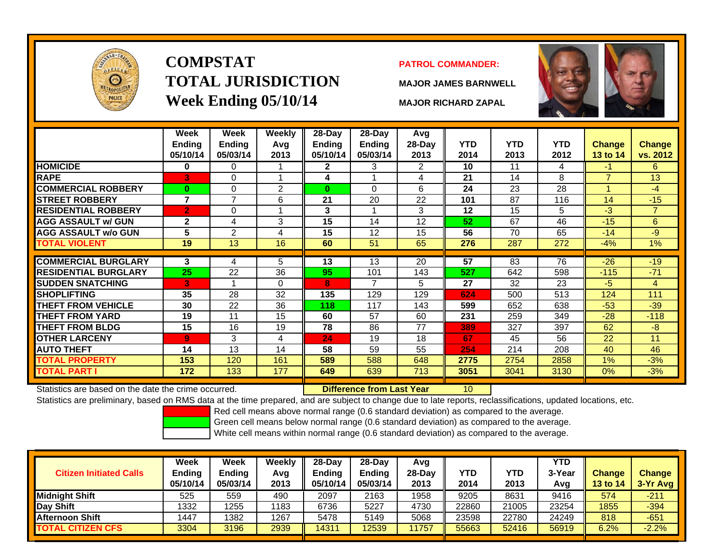

# **COMPSTATTOTAL JURISDICTIONWeek Ending 05/10/14 MAJOR RICHARD ZAPAL**

#### **PATROL COMMANDER:**

**MAJOR JAMES BARNWELL**

10



|                             | Week<br><b>Ending</b><br>05/10/14 | Week<br><b>Ending</b><br>05/03/14 | Weekly<br>Avg<br>2013 | 28-Day<br>Ending<br>05/10/14 | $28 - Day$<br><b>Ending</b><br>05/03/14 | Avg<br>28-Day<br>2013 | <b>YTD</b><br>2014 | <b>YTD</b><br>2013 | YTD.<br>2012 | <b>Change</b><br>13 to 14 | <b>Change</b><br>vs. 2012 |
|-----------------------------|-----------------------------------|-----------------------------------|-----------------------|------------------------------|-----------------------------------------|-----------------------|--------------------|--------------------|--------------|---------------------------|---------------------------|
| <b>HOMICIDE</b>             | 0                                 | 0                                 |                       | $\mathbf{2}$                 | 3                                       | 2                     | 10                 | 11                 | 4            | -1                        | 6                         |
| <b>RAPE</b>                 | 3                                 | 0                                 |                       | 4                            |                                         | 4                     | 21                 | 14                 | 8            | $\overline{\phantom{a}}$  | 13                        |
| <b>COMMERCIAL ROBBERY</b>   | $\bf{0}$                          | 0                                 | 2                     | $\bf{0}$                     | $\Omega$                                | 6                     | 24                 | 23                 | 28           |                           | $-4$                      |
| <b>STREET ROBBERY</b>       | $\overline{7}$                    | 7                                 | 6                     | 21                           | 20                                      | 22                    | 101                | 87                 | 116          | 14                        | $-15$                     |
| <b>RESIDENTIAL ROBBERY</b>  | $\overline{2}$                    | 0                                 |                       | 3                            |                                         | 3                     | 12                 | 15                 | 5            | $-3$                      | $\overline{7}$            |
| <b>AGG ASSAULT w/ GUN</b>   | $\mathbf{2}$                      | 4                                 | 3                     | 15                           | 14                                      | 12                    | 52                 | 67                 | 46           | $-15$                     | 6                         |
| <b>AGG ASSAULT w/o GUN</b>  | 5                                 | 2                                 | 4                     | 15                           | 12                                      | 15                    | 56                 | 70                 | 65           | $-14$                     | -9                        |
| <b>TOTAL VIOLENT</b>        | 19                                | 13                                | 16                    | 60                           | 51                                      | 65                    | 276                | 287                | 272          | $-4%$                     | $1\%$                     |
|                             |                                   |                                   |                       |                              |                                         |                       |                    |                    |              |                           |                           |
| <b>COMMERCIAL BURGLARY</b>  | 3                                 | 4                                 | 5                     | 13                           | 13                                      | 20                    | 57                 | 83                 | 76           | $-26$                     | $-19$                     |
| <b>RESIDENTIAL BURGLARY</b> | 25                                | 22                                | 36                    | 95                           | 101                                     | 143                   | 527                | 642                | 598          | $-115$                    | $-71$                     |
| <b>SUDDEN SNATCHING</b>     | 3                                 |                                   | $\Omega$              | 8                            | $\overline{7}$                          | 5                     | 27                 | 32                 | 23           | $-5$                      | 4                         |
| <b>SHOPLIFTING</b>          | 35                                | 28                                | 32                    | 135                          | 129                                     | 129                   | 624                | 500                | 513          | 124                       | 111                       |
| <b>THEFT FROM VEHICLE</b>   | 30                                | 22                                | 36                    | 118                          | 117                                     | 143                   | 599                | 652                | 638          | $-53$                     | $-39$                     |
| <b>THEFT FROM YARD</b>      | 19                                | 11                                | 15                    | 60                           | 57                                      | 60                    | 231                | 259                | 349          | $-28$                     | $-118$                    |
| <b>THEFT FROM BLDG</b>      | 15                                | 16                                | 19                    | 78                           | 86                                      | 77                    | 389                | 327                | 397          | 62                        | $-8$                      |
| <b>OTHER LARCENY</b>        | $\overline{9}$                    | 3                                 | 4                     | 24                           | 19                                      | 18                    | 67                 | 45                 | 56           | 22                        | 11                        |
| <b>AUTO THEFT</b>           | 14                                | 13                                | 14                    | 58                           | 59                                      | 55                    | 254                | 214                | 208          | 40                        | 46                        |
| TOTAL PROPERTY              | 153                               | 120                               | 161                   | 589                          | 588                                     | 648                   | 2775               | 2754               | 2858         | 1%                        | $-3%$                     |
| TOTAL PART I                | 172                               | 133                               | 177                   | 649                          | 639                                     | 713                   | 3051               | 3041               | 3130         | 0%                        | $-3%$                     |

Statistics are based on the date the crime occurred. **Difference from Last Year** 

Statistics are preliminary, based on RMS data at the time prepared, and are subject to change due to late reports, reclassifications, updated locations, etc.

Red cell means above normal range (0.6 standard deviation) as compared to the average.

Green cell means below normal range (0.6 standard deviation) as compared to the average.

| <b>Citizen Initiated Calls</b> | Week<br><b>Ending</b><br>05/10/14 | <b>Week</b><br><b>Ending</b><br>05/03/14 | Weekly<br>Avg<br>2013 | 28-Day<br><b>Ending</b><br>05/10/14 | $28-Day$<br><b>Ending</b><br>05/03/14 | Avg<br>28-Dav<br>2013 | YTD<br>2014 | YTD<br>2013 | <b>YTD</b><br>3-Year<br>Avg | <b>Change</b><br><b>13 to 14</b> | <b>Change</b><br>3-Yr Avg |
|--------------------------------|-----------------------------------|------------------------------------------|-----------------------|-------------------------------------|---------------------------------------|-----------------------|-------------|-------------|-----------------------------|----------------------------------|---------------------------|
| <b>I</b> Midniaht Shift        | 525                               | 559                                      | 490                   | 2097                                | 2163                                  | 1958                  | 9205        | 8631        | 9416                        | 574                              | $-211$                    |
| Day Shift                      | 1332                              | 1255                                     | 1183                  | 6736                                | 5227                                  | 4730                  | 22860       | 21005       | 23254                       | 1855                             | $-394$                    |
| <b>Afternoon Shift</b>         | 1447                              | 1382                                     | 1267                  | 5478                                | 5149                                  | 5068                  | 23598       | 22780       | 24249                       | 818                              | $-651$                    |
| <b>TOTAL CITIZEN CFS</b>       | 3304                              | 3196                                     | 2939                  | 4311                                | 12539                                 | 1757                  | 55663       | 52416       | 56919                       | 6.2%                             | $-2.2%$                   |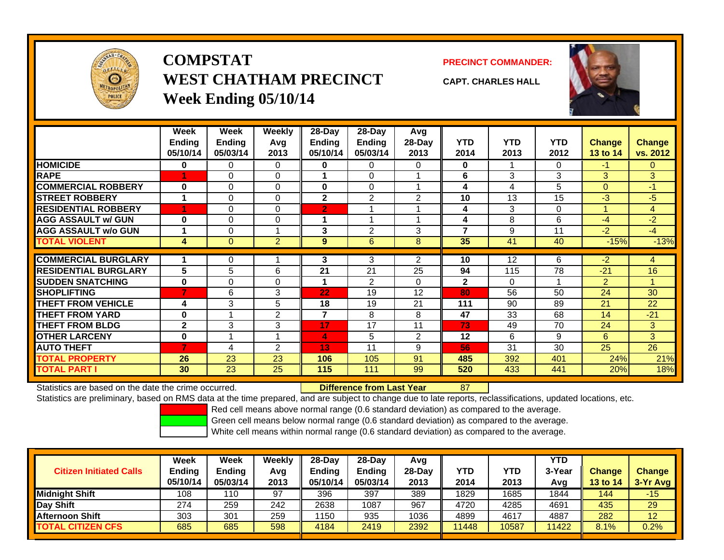

# **COMPSTATWEST CHATHAM PRECINCTWeek Ending 05/10/14**

**PRECINCT COMMANDER:**



**CAPT. CHARLES HALL**

|                             | Week<br><b>Ending</b><br>05/10/14 | Week<br>Ending<br>05/03/14 | Weekly<br>Avg<br>2013   | 28-Day<br>Ending<br>05/10/14 | $28$ -Day<br><b>Ending</b><br>05/03/14 | Avg<br>28-Day<br>2013 | <b>YTD</b><br>2014 | <b>YTD</b><br>2013 | <b>YTD</b><br>2012 | <b>Change</b><br>13 to 14 | <b>Change</b><br>vs. 2012 |
|-----------------------------|-----------------------------------|----------------------------|-------------------------|------------------------------|----------------------------------------|-----------------------|--------------------|--------------------|--------------------|---------------------------|---------------------------|
| <b>HOMICIDE</b>             | 0                                 | 0                          | 0                       | $\bf{0}$                     | 0                                      | $\Omega$              | 0                  |                    | 0                  | $-1$                      | $\Omega$                  |
| <b>RAPE</b>                 |                                   | $\Omega$                   | $\Omega$                |                              | $\Omega$                               |                       | 6                  | 3                  | 3                  | 3                         | 3                         |
| <b>COMMERCIAL ROBBERY</b>   | $\bf{0}$                          | $\Omega$                   | $\Omega$                | $\bf{0}$                     | 0                                      | 4                     | 4                  | 4                  | 5                  | $\mathbf{0}$              | $-1$                      |
| <b>STREET ROBBERY</b>       |                                   | $\Omega$                   | $\Omega$                | $\mathbf{2}$                 | 2                                      | 2                     | 10                 | 13                 | 15                 | $-3$                      | $-5$                      |
| <b>RESIDENTIAL ROBBERY</b>  |                                   | $\Omega$                   | $\Omega$                | $\overline{2}$               |                                        |                       | 4                  | 3                  | $\Omega$           |                           | 4                         |
| <b>AGG ASSAULT w/ GUN</b>   | $\bf{0}$                          | $\Omega$                   | 0                       | 1                            |                                        | ٠                     | 4                  | 8                  | 6                  | $-4$                      | $-2$                      |
| <b>AGG ASSAULT w/o GUN</b>  |                                   | $\Omega$                   | $\overline{\mathbf{A}}$ | 3                            | $\overline{2}$                         | 3                     | 7                  | 9                  | 11                 | $-2$                      | $-4$                      |
| <b>TOTAL VIOLENT</b>        | 4                                 | $\mathbf{0}$               | $\overline{2}$          | 9                            | 6                                      | 8                     | 35                 | 41                 | 40                 | $-15%$                    | $-13%$                    |
|                             |                                   |                            |                         |                              |                                        |                       |                    |                    |                    |                           |                           |
| <b>COMMERCIAL BURGLARY</b>  |                                   | 0                          |                         | 3                            | 3                                      | 2                     | 10                 | 12                 | 6                  | $-2$                      | 4                         |
| <b>RESIDENTIAL BURGLARY</b> | 5                                 | 5                          | 6                       | 21                           | 21                                     | 25                    | 94                 | 115                | 78                 | $-21$                     | 16                        |
| <b>SUDDEN SNATCHING</b>     | $\bf{0}$                          | $\Omega$                   | $\Omega$                | 1                            | $\mathfrak{p}$                         | 0                     | $\mathbf{2}$       | $\Omega$           | 4                  | 2                         |                           |
| <b>SHOPLIFTING</b>          | 7                                 | 6                          | 3                       | 22                           | 19                                     | 12                    | 80                 | 56                 | 50                 | 24                        | 30                        |
| <b>THEFT FROM VEHICLE</b>   | 4                                 | 3                          | 5                       | 18                           | 19                                     | 21                    | 111                | 90                 | 89                 | 21                        | 22                        |
| <b>THEFT FROM YARD</b>      | $\bf{0}$                          |                            | $\overline{2}$          | $\overline{7}$               | 8                                      | 8                     | 47                 | 33                 | 68                 | 14                        | $-21$                     |
| <b>THEFT FROM BLDG</b>      | $\mathbf{2}$                      | 3                          | 3                       | 17                           | 17                                     | 11                    | 73                 | 49                 | 70                 | 24                        | 3.                        |
| <b>OTHER LARCENY</b>        | $\bf{0}$                          |                            |                         | 4                            | 5                                      | 2                     | 12                 | 6                  | 9                  | 6                         | 3                         |
| <b>AUTO THEFT</b>           | 7                                 | 4                          | 2                       | 13                           | 11                                     | 9                     | 56                 | 31                 | 30                 | 25                        | 26                        |
| <b>TOTAL PROPERTY</b>       | 26                                | 23                         | 23                      | 106                          | 105                                    | 91                    | 485                | 392                | 401                | 24%                       | 21%                       |
| TOTAL PART I                | 30                                | 23                         | 25                      | 115                          | 111                                    | 99                    | 520                | 433                | 441                | 20%                       | 18%                       |

Statistics are based on the date the crime occurred. **Difference from Last Year** 

87

Statistics are preliminary, based on RMS data at the time prepared, and are subject to change due to late reports, reclassifications, updated locations, etc.

Red cell means above normal range (0.6 standard deviation) as compared to the average.

Green cell means below normal range (0.6 standard deviation) as compared to the average.

| <b>Citizen Initiated Calls</b> | Week<br><b>Ending</b><br>05/10/14 | <b>Week</b><br><b>Ending</b><br>05/03/14 | <b>Weekly</b><br>Avg<br>2013 | $28-Day$<br><b>Ending</b><br>05/10/14 | $28$ -Day<br><b>Ending</b><br>05/03/14 | Avg<br>28-Day<br>2013 | YTD<br>2014 | YTD<br>2013 | <b>YTD</b><br>3-Year<br>Avg | <b>Change</b><br><b>13 to 14</b> | <b>Change</b><br>3-Yr Avg |
|--------------------------------|-----------------------------------|------------------------------------------|------------------------------|---------------------------------------|----------------------------------------|-----------------------|-------------|-------------|-----------------------------|----------------------------------|---------------------------|
| Midnight Shift                 | 108                               | 110                                      | 97                           | 396                                   | 397                                    | 389                   | 1829        | 1685        | 1844                        | 144                              | -15                       |
| Day Shift                      | 274                               | 259                                      | 242                          | 2638                                  | 1087                                   | 967                   | 4720        | 4285        | 4691                        | 435                              | 29                        |
| <b>Afternoon Shift</b>         | 303                               | 301                                      | 259                          | 1150                                  | 935                                    | 1036                  | 4899        | 4617        | 4887                        | 282                              | 12                        |
| <b>TOTAL CITIZEN CFS</b>       | 685                               | 685                                      | 598                          | 4184                                  | 2419                                   | 2392                  | 1448        | 10587       | 11422                       | 8.1%                             | 0.2%                      |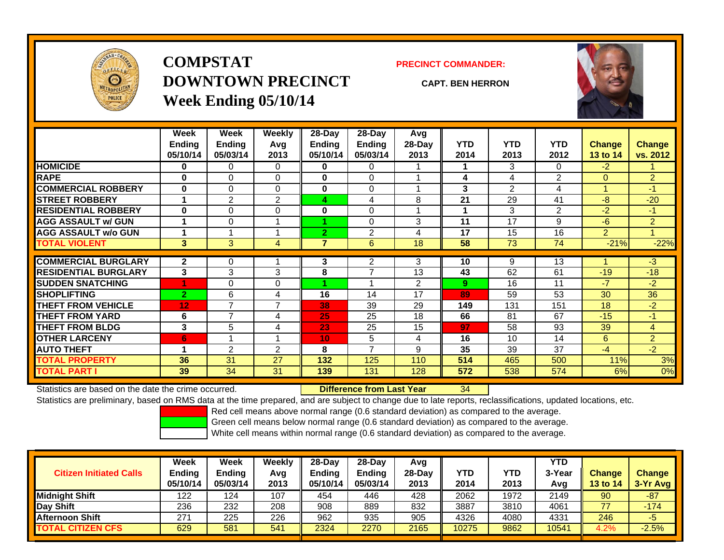

# **COMPSTATDOWNTOWN PRECINCTWeek Ending 05/10/14**

**PRECINCT COMMANDER:**

**CAPT. BEN HERRON**



|                             | Week<br><b>Ending</b><br>05/10/14 | <b>Week</b><br><b>Ending</b><br>05/03/14 | Weekly<br>Avg<br>2013 | 28-Day<br><b>Ending</b><br>05/10/14 | $28-Day$<br><b>Ending</b><br>05/03/14 | Avg<br>28-Day<br>2013 | <b>YTD</b><br>2014 | <b>YTD</b><br>2013 | <b>YTD</b><br>2012 | <b>Change</b><br><b>13 to 14</b> | <b>Change</b><br>vs. 2012 |
|-----------------------------|-----------------------------------|------------------------------------------|-----------------------|-------------------------------------|---------------------------------------|-----------------------|--------------------|--------------------|--------------------|----------------------------------|---------------------------|
| <b>HOMICIDE</b>             | 0                                 | 0                                        | 0                     | 0                                   | 0                                     |                       |                    | 3                  | 0                  | $-2$                             |                           |
| <b>RAPE</b>                 | $\bf{0}$                          | $\Omega$                                 | $\Omega$              | $\bf{0}$                            | $\Omega$                              |                       | 4                  | 4                  | 2                  | $\Omega$                         | $\overline{2}$            |
| <b>COMMERCIAL ROBBERY</b>   | $\bf{0}$                          | 0                                        | $\mathbf 0$           | $\bf{0}$                            | 0                                     |                       | 3                  | $\overline{2}$     | 4                  | и                                | $-1$                      |
| <b>STREET ROBBERY</b>       | 4                                 | $\overline{2}$                           | $\overline{2}$        | 4                                   | 4                                     | 8                     | 21                 | 29                 | 41                 | -8                               | $-20$                     |
| <b>RESIDENTIAL ROBBERY</b>  | $\bf{0}$                          | 0                                        | $\Omega$              | 0                                   | 0                                     |                       |                    | 3                  | 2                  | -2                               | $-1$                      |
| <b>AGG ASSAULT w/ GUN</b>   |                                   | 0                                        |                       |                                     | 0                                     | 3                     | 11                 | 17                 | 9                  | -6                               | $\overline{2}$            |
| <b>AGG ASSAULT w/o GUN</b>  |                                   |                                          |                       | $\mathbf{2}$                        | $\overline{2}$                        | 4                     | 17                 | 15                 | 16                 | $\overline{2}$                   | 1                         |
| <b>TOTAL VIOLENT</b>        | 3                                 | 3                                        | 4                     | 7                                   | 6                                     | 18                    | 58                 | 73                 | 74                 | $-21%$                           | $-22%$                    |
| <b>COMMERCIAL BURGLARY</b>  | $\mathbf{2}$                      |                                          |                       | 3                                   | 2                                     | 3                     | 10                 |                    | 13                 |                                  | $-3$                      |
|                             |                                   | 0                                        |                       |                                     | 7                                     |                       |                    | 9                  |                    |                                  |                           |
| <b>RESIDENTIAL BURGLARY</b> | 3                                 | 3                                        | 3                     | 8                                   |                                       | 13                    | 43                 | 62                 | 61                 | $-19$                            | $-18$                     |
| <b>SUDDEN SNATCHING</b>     |                                   | 0                                        | 0                     |                                     |                                       | 2                     | 9                  | 16                 | 11                 | -7                               | $-2$                      |
| <b>SHOPLIFTING</b>          | $\overline{2}$                    | 6                                        | 4                     | 16                                  | 14                                    | 17                    | 89                 | 59                 | 53                 | 30                               | 36                        |
| <b>THEFT FROM VEHICLE</b>   | 12                                | $\overline{ }$                           | $\overline{ }$        | 38                                  | 39                                    | 29                    | 149                | 131                | 151                | 18                               | $-2$                      |
| <b>THEFT FROM YARD</b>      | 6                                 | 7                                        | 4                     | 25                                  | 25                                    | 18                    | 66                 | 81                 | 67                 | $-15$                            | $-1$                      |
| <b>THEFT FROM BLDG</b>      | 3                                 | 5                                        | 4                     | 23                                  | 25                                    | 15                    | 97                 | 58                 | 93                 | 39                               | $\overline{4}$            |
| <b>OTHER LARCENY</b>        | 6                                 |                                          |                       | 10                                  | 5                                     | 4                     | 16                 | 10                 | 14                 | 6                                | $\overline{2}$            |
| <b>AUTO THEFT</b>           | 4                                 | $\overline{2}$                           | 2                     | 8                                   | 7                                     | 9                     | 35                 | 39                 | 37                 | -4                               | $-2$                      |
| <b>TOTAL PROPERTY</b>       | 36                                | 31                                       | 27                    | 132                                 | 125                                   | 110                   | 514                | 465                | 500                | 11%                              | 3%                        |
| <b>TOTAL PART I</b>         | 39                                | 34                                       | 31                    | 139                                 | 131                                   | 128                   | 572                | 538                | 574                | 6%                               | $0\%$                     |

Statistics are based on the date the crime occurred. **Difference from Last Year** 

34

Statistics are preliminary, based on RMS data at the time prepared, and are subject to change due to late reports, reclassifications, updated locations, etc.

Red cell means above normal range (0.6 standard deviation) as compared to the average.

Green cell means below normal range (0.6 standard deviation) as compared to the average.

| <b>Citizen Initiated Calls</b> | Week<br>Ending<br>05/10/14 | <b>Week</b><br><b>Ending</b><br>05/03/14 | Weekly<br>Avg<br>2013 | 28-Dav<br><b>Ending</b><br>05/10/14 | 28-Dav<br><b>Ending</b><br>05/03/14 | Avg<br>$28-Dav$<br>2013 | YTD<br>2014 | YTD<br>2013 | <b>YTD</b><br>3-Year<br>Avg | <b>Change</b><br>13 to 14 | <b>Change</b><br>3-Yr Avg |
|--------------------------------|----------------------------|------------------------------------------|-----------------------|-------------------------------------|-------------------------------------|-------------------------|-------------|-------------|-----------------------------|---------------------------|---------------------------|
| <b>Midnight Shift</b>          | 122                        | 124                                      | 107                   | 454                                 | 446                                 | 428                     | 2062        | 1972        | 2149                        | 90                        | $-87$                     |
| Day Shift                      | 236                        | 232                                      | 208                   | 908                                 | 889                                 | 832                     | 3887        | 3810        | 4061                        | 77                        | $-174$                    |
| <b>Afternoon Shift</b>         | 271                        | 225                                      | 226                   | 962                                 | 935                                 | 905                     | 4326        | 4080        | 4331                        | 246                       | -5                        |
| <b>TOTAL CITIZEN CFS</b>       | 629                        | 581                                      | 541                   | 2324                                | 2270                                | 2165                    | 10275       | 9862        | 10541                       | 4.2%                      | $-2.5%$                   |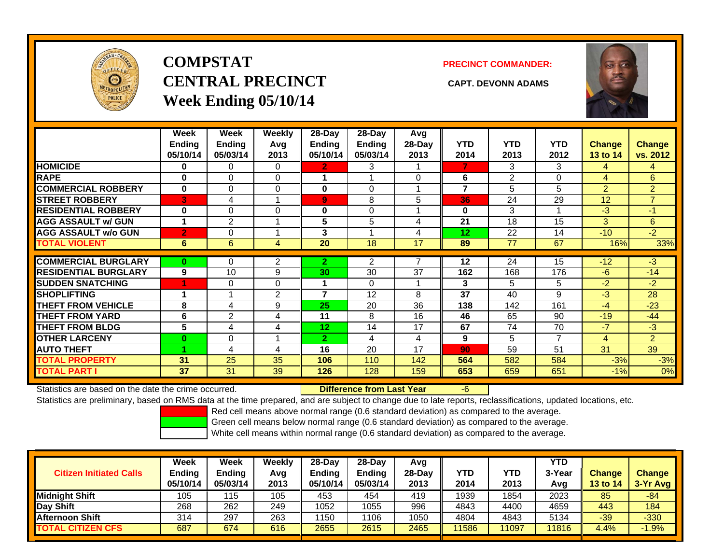

# **COMPSTATCENTRAL PRECINCT CAPT. DEVONN ADAMSWeek Ending 05/10/14**

**PRECINCT COMMANDER:**



|                             | Week<br><b>Ending</b><br>05/10/14 | Week<br>Endina<br>05/03/14 | Weekly<br>Avg<br>2013 | $28-Day$<br><b>Ending</b><br>05/10/14 | 28-Day<br><b>Endina</b><br>05/03/14 | Avg<br>28-Day<br>2013 | <b>YTD</b><br>2014 | <b>YTD</b><br>2013 | <b>YTD</b><br>2012 | <b>Change</b><br>13 to 14 | Change<br>vs. 2012 |
|-----------------------------|-----------------------------------|----------------------------|-----------------------|---------------------------------------|-------------------------------------|-----------------------|--------------------|--------------------|--------------------|---------------------------|--------------------|
| <b>HOMICIDE</b>             | 0                                 | 0                          | 0                     | $\mathbf{2}$                          | 3                                   |                       | 7                  | 3                  | 3                  | 4                         | 4                  |
| <b>RAPE</b>                 | 0                                 | $\Omega$                   | 0                     |                                       |                                     | $\Omega$              | 6                  | 2                  | 0                  | 4                         | 6                  |
| <b>COMMERCIAL ROBBERY</b>   | $\bf{0}$                          | $\Omega$                   | 0                     | $\bf{0}$                              | 0                                   |                       | $\overline{7}$     | 5                  | 5                  | $\overline{2}$            | $\overline{2}$     |
| <b>STREET ROBBERY</b>       | 3                                 | 4                          |                       | 9                                     | 8                                   | 5                     | 36                 | 24                 | 29                 | 12                        | $\overline{7}$     |
| <b>RESIDENTIAL ROBBERY</b>  | $\bf{0}$                          | $\Omega$                   | $\Omega$              | 0                                     | 0                                   |                       | $\bf{0}$           | 3                  |                    | $-3$                      | $-1$               |
| <b>AGG ASSAULT w/ GUN</b>   |                                   | $\overline{2}$             |                       | 5                                     | 5                                   | 4                     | 21                 | 18                 | 15                 | 3                         | 6                  |
| <b>AGG ASSAULT w/o GUN</b>  | $\overline{2}$                    | 0                          |                       | 3                                     |                                     | 4                     | $12 \,$            | 22                 | 14                 | $-10$                     | $-2$               |
| <b>TOTAL VIOLENT</b>        | 6                                 | 6                          | 4                     | 20                                    | 18                                  | 17                    | 89                 | 77                 | 67                 | 16%                       | 33%                |
| <b>COMMERCIAL BURGLARY</b>  | $\bf{0}$                          | $\Omega$                   | 2                     | $\mathbf{2}$                          | $\overline{2}$                      |                       | 12                 | 24                 | 15                 | $-12$                     | $-3$               |
|                             |                                   |                            |                       |                                       |                                     |                       |                    |                    |                    |                           |                    |
| <b>RESIDENTIAL BURGLARY</b> | 9                                 | 10                         | 9                     | 30                                    | 30                                  | 37                    | 162                | 168                | 176                | $-6$                      | $-14$              |
| <b>SUDDEN SNATCHING</b>     |                                   | $\Omega$                   | 0                     |                                       | $\Omega$                            | и                     | 3                  | 5                  | 5                  | $-2$                      | $-2$               |
| <b>SHOPLIFTING</b>          |                                   |                            | $\overline{2}$        | $\overline{7}$                        | 12                                  | 8                     | 37                 | 40                 | 9                  | $-3$                      | 28                 |
| <b>THEFT FROM VEHICLE</b>   | 8                                 | 4                          | 9                     | 25                                    | 20                                  | 36                    | 138                | 142                | 161                | $-4$                      | $-23$              |
| <b>THEFT FROM YARD</b>      | 6                                 | 2                          | 4                     | 11                                    | 8                                   | 16                    | 46                 | 65                 | 90                 | $-19$                     | $-44$              |
| <b>THEFT FROM BLDG</b>      | 5                                 | 4                          | 4                     | 12 <sub>2</sub>                       | 14                                  | 17                    | 67                 | 74                 | 70                 | $-7$                      | $-3$               |
| <b>OTHER LARCENY</b>        | $\bf{0}$                          | 0                          |                       | $\overline{2}$                        | 4                                   | 4                     | 9                  | 5                  | 7                  | 4                         | $\overline{2}$     |
| <b>AUTO THEFT</b>           |                                   | 4                          | 4                     | 16                                    | 20                                  | 17                    | 90                 | 59                 | 51                 | 31                        | 39                 |
| <b>TOTAL PROPERTY</b>       | 31                                | 25                         | 35                    | 106                                   | 110                                 | 142                   | 564                | 582                | 584                | $-3%$                     | $-3%$              |
| <b>TOTAL PART I</b>         | 37                                | 31                         | 39                    | 126                                   | 128                                 | 159                   | 653                | 659                | 651                | $-1%$                     | 0%                 |

Statistics are based on the date the crime occurred. **Difference from Last Year** 

-6

Statistics are preliminary, based on RMS data at the time prepared, and are subject to change due to late reports, reclassifications, updated locations, etc.

Red cell means above normal range (0.6 standard deviation) as compared to the average.

Green cell means below normal range (0.6 standard deviation) as compared to the average.

| <b>Citizen Initiated Calls</b> | Week<br>Ending<br>05/10/14 | <b>Week</b><br>Ending<br>05/03/14 | Weekly<br>Avg<br>2013 | $28-Dav$<br><b>Endina</b><br>05/10/14 | 28-Dav<br><b>Ending</b><br>05/03/14 | Avg<br>28-Dav<br>2013 | YTD<br>2014 | YTD<br>2013 | YTD<br>3-Year<br>Avg | <b>Change</b><br>13 to 14 | <b>Change</b><br>3-Yr Avg |
|--------------------------------|----------------------------|-----------------------------------|-----------------------|---------------------------------------|-------------------------------------|-----------------------|-------------|-------------|----------------------|---------------------------|---------------------------|
| <b>Midnight Shift</b>          | 105                        | 15                                | 105                   | 453                                   | 454                                 | 419                   | 1939        | 1854        | 2023                 | 85                        | $-84$                     |
| Day Shift                      | 268                        | 262                               | 249                   | 1052                                  | 1055                                | 996                   | 4843        | 4400        | 4659                 | 443                       | 184                       |
| <b>Afternoon Shift</b>         | 314                        | 297                               | 263                   | 1150                                  | 1106                                | 1050                  | 4804        | 4843        | 5134                 | $-39$                     | $-330$                    |
| <b>TOTAL CITIZEN CFS</b>       | 687                        | 674                               | 616                   | 2655                                  | 2615                                | 2465                  | 11586       | 11097       | 11816                | 4.4%                      | $-1.9%$                   |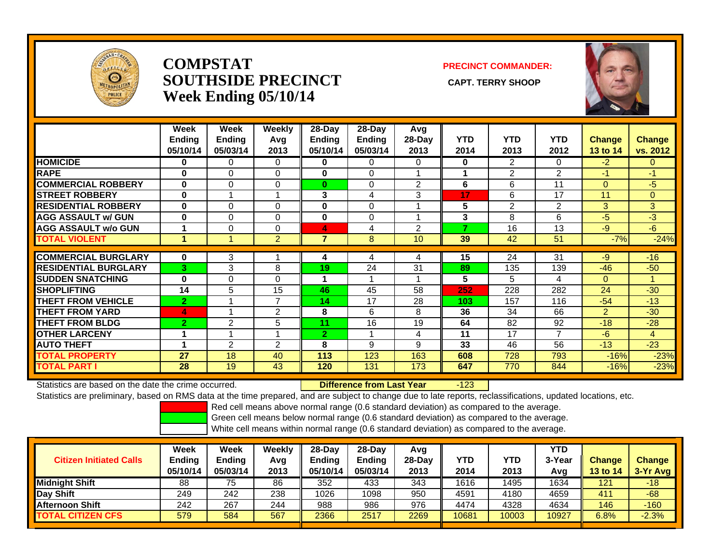

#### **COMPSTATSOUTHSIDE PRECINCT** CAPT. TERRY SHOOP **Week Ending 05/10/14**

#### **PRECINCT COMMANDER:**



|                             | Week<br><b>Ending</b><br>05/10/14 | Week<br><b>Ending</b><br>05/03/14 | Weekly<br>Avg<br>2013 | 28-Day<br><b>Ending</b><br>05/10/14 | 28-Day<br><b>Ending</b><br>05/03/14 | Avg<br>28-Day<br>2013 | <b>YTD</b><br>2014 | <b>YTD</b><br>2013 | <b>YTD</b><br>2012 | <b>Change</b><br>13 to 14 | <b>Change</b><br>vs. 2012 |
|-----------------------------|-----------------------------------|-----------------------------------|-----------------------|-------------------------------------|-------------------------------------|-----------------------|--------------------|--------------------|--------------------|---------------------------|---------------------------|
| <b>HOMICIDE</b>             | $\bf{0}$                          | $\mathbf{0}$                      | 0                     | $\bf{0}$                            | 0                                   | $\Omega$              | 0                  | $\overline{2}$     | 0                  | $-2$                      | $\Omega$                  |
| <b>RAPE</b>                 | $\bf{0}$                          | $\Omega$                          | 0                     | $\bf{0}$                            | $\Omega$                            |                       |                    | $\overline{2}$     | 2                  | -1                        | $-1$                      |
| <b>COMMERCIAL ROBBERY</b>   | $\bf{0}$                          | $\Omega$                          | 0                     | $\bf{0}$                            | 0                                   | 2                     | 6                  | 6                  | 11                 | $\mathbf{0}$              | $-5$                      |
| <b>STREET ROBBERY</b>       | $\bf{0}$                          |                                   |                       | 3                                   | 4                                   | 3                     | 17                 | 6                  | 17                 | 11                        | $\overline{0}$            |
| <b>RESIDENTIAL ROBBERY</b>  | $\bf{0}$                          | $\Omega$                          | $\Omega$              | 0                                   | 0                                   |                       | 5                  | 2                  | 2                  | 3                         | 3 <sup>1</sup>            |
| <b>AGG ASSAULT w/ GUN</b>   | $\bf{0}$                          | $\Omega$                          | 0                     | $\bf{0}$                            | 0                                   |                       | 3                  | 8                  | 6                  | $-5$                      | $-3$                      |
| <b>AGG ASSAULT w/o GUN</b>  |                                   | $\Omega$                          | $\Omega$              | 4                                   | 4                                   | $\overline{2}$        | 7                  | 16                 | 13                 | $-9$                      | $-6$                      |
| <b>TOTAL VIOLENT</b>        | 1                                 |                                   | $\overline{2}$        | $\overline{7}$                      | 8                                   | 10                    | 39                 | 42                 | 51                 | $-7%$                     | $-24%$                    |
|                             |                                   |                                   |                       |                                     |                                     |                       |                    |                    |                    |                           |                           |
| <b>COMMERCIAL BURGLARY</b>  | $\bf{0}$                          | 3                                 |                       | 4                                   | 4                                   | 4                     | 15                 | 24                 | 31                 | -9                        | $-16$                     |
| <b>RESIDENTIAL BURGLARY</b> | 3                                 | 3                                 | 8                     | 19                                  | 24                                  | 31                    | 89                 | 135                | 139                | $-46$                     | $-50$                     |
| <b>SUDDEN SNATCHING</b>     | $\bf{0}$                          | $\Omega$                          | 0                     | 4                                   | 4                                   |                       | 5                  | 5                  | 4                  | $\Omega$                  |                           |
| <b>SHOPLIFTING</b>          | 14                                | 5                                 | 15                    | 46                                  | 45                                  | 58                    | 252                | 228                | 282                | 24                        | $-30$                     |
| <b>THEFT FROM VEHICLE</b>   | $\overline{2}$                    |                                   | $\overline{7}$        | 14                                  | 17                                  | 28                    | 103                | 157                | 116                | $-54$                     | $-13$                     |
| <b>THEFT FROM YARD</b>      | 4                                 |                                   | $\overline{2}$        | 8                                   | 6                                   | 8                     | 36                 | 34                 | 66                 | 2                         | $-30$                     |
| <b>THEFT FROM BLDG</b>      | $\overline{2}$                    | 2                                 | 5                     | 11                                  | 16                                  | 19                    | 64                 | 82                 | 92                 | $-18$                     | $-28$                     |
| <b>OTHER LARCENY</b>        | 4                                 |                                   |                       | $\overline{2}$                      | 1                                   | 4                     | 11                 | 17                 | $\overline{7}$     | $-6$                      | 4                         |
| <b>AUTO THEFT</b>           | $\overline{1}$                    | $\overline{2}$                    | $\overline{2}$        | 8                                   | 9                                   | 9                     | 33                 | 46                 | 56                 | $-13$                     | $-23$                     |
| <b>TOTAL PROPERTY</b>       | 27                                | 18                                | 40                    | 113                                 | 123                                 | 163                   | 608                | 728                | 793                | $-16%$                    | $-23%$                    |
| <b>TOTAL PART I</b>         | 28                                | 19                                | 43                    | 120                                 | 131                                 | 173                   | 647                | 770                | 844                | $-16%$                    | $-23%$                    |

Statistics are based on the date the crime occurred. **Difference from Last Year** 

-123

Statistics are preliminary, based on RMS data at the time prepared, and are subject to change due to late reports, reclassifications, updated locations, etc.

Red cell means above normal range (0.6 standard deviation) as compared to the average.

Green cell means below normal range (0.6 standard deviation) as compared to the average.

| <b>Citizen Initiated Calls</b> | Week<br><b>Ending</b><br>05/10/14 | Week<br><b>Ending</b><br>05/03/14 | Weekly<br>Avg<br>2013 | $28-Dav$<br>Ending<br>05/10/14 | $28-Day$<br><b>Ending</b><br>05/03/14 | Avg<br>$28-Day$<br>2013 | YTD<br>2014 | YTD<br>2013 | YTD<br>3-Year<br>Avg | <b>Change</b><br><b>13 to 14</b> | <b>Change</b><br>3-Yr Avg |
|--------------------------------|-----------------------------------|-----------------------------------|-----------------------|--------------------------------|---------------------------------------|-------------------------|-------------|-------------|----------------------|----------------------------------|---------------------------|
| <b>Midnight Shift</b>          | 88                                | 75                                | 86                    | 352                            | 433                                   | 343                     | 1616        | 1495        | 1634                 | 121                              | -18                       |
| Day Shift                      | 249                               | 242                               | 238                   | 1026                           | 1098                                  | 950                     | 4591        | 4180        | 4659                 | 411                              | $-68$                     |
| <b>Afternoon Shift</b>         | 242                               | 267                               | 244                   | 988                            | 986                                   | 976                     | 4474        | 4328        | 4634                 | 146                              | $-160$                    |
| <b>TOTAL CITIZEN CFS</b>       | 579                               | 584                               | 567                   | 2366                           | 2517                                  | 2269                    | 10681       | 10003       | 10927                | 6.8%                             | $-2.3%$                   |